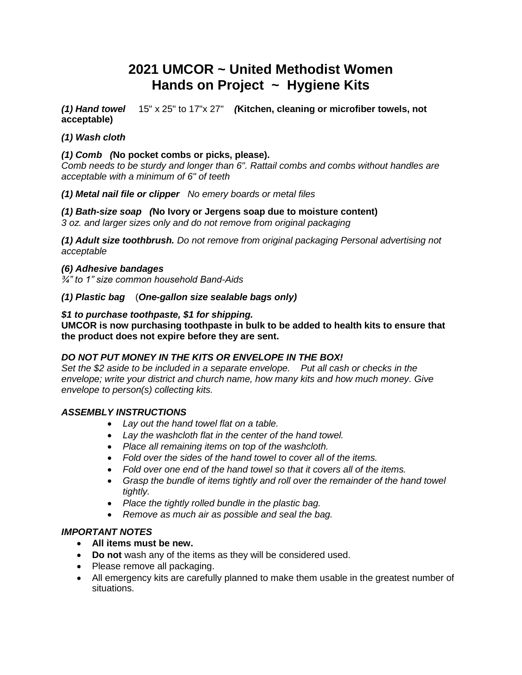# **2021 UMCOR ~ United Methodist Women Hands on Project ~ Hygiene Kits**

*(1) Hand towel* 15" x 25" to 17"x 27"*(***Kitchen, cleaning or microfiber towels, not acceptable)**

## *(1) Wash cloth*

### *(1) Comb (***No pocket combs or picks, please).**

*Comb needs to be sturdy and longer than 6". Rattail combs and combs without handles are acceptable with a minimum of 6" of teeth*

#### *(1) Metal nail file or clipper No emery boards or metal files*

*(1) Bath-size soap (***No Ivory or Jergens soap due to moisture content)** *3 oz. and larger sizes only and do not remove from original packaging*

*(1) Adult size toothbrush. Do not remove from original packaging Personal advertising not acceptable*

#### *(6) Adhesive bandages*

*¾" to 1" size common household Band-Aids*

### *(1) Plastic bag* (*One-gallon size sealable bags only)*

### *\$1 to purchase toothpaste, \$1 for shipping.*

**UMCOR is now purchasing toothpaste in bulk to be added to health kits to ensure that the product does not expire before they are sent.**

# *DO NOT PUT MONEY IN THE KITS OR ENVELOPE IN THE BOX!*

*Set the \$2 aside to be included in a separate envelope. Put all cash or checks in the envelope; write your district and church name, how many kits and how much money. Give envelope to person(s) collecting kits.*

# *ASSEMBLY INSTRUCTIONS*

- *Lay out the hand towel flat on a table.*
- *Lay the washcloth flat in the center of the hand towel.*
- *Place all remaining items on top of the washcloth.*
- *Fold over the sides of the hand towel to cover all of the items.*
- *Fold over one end of the hand towel so that it covers all of the items.*
- **•** Grasp the bundle of items tightly and roll over the remainder of the hand towel *tightly.*
- *Place the tightly rolled bundle in the plastic bag.*
- *Remove as much air as possible and seal the bag.*

# *IMPORTANT NOTES*

- **All items must be new.**
- **Do not** wash any of the items as they will be considered used.
- Please remove all packaging.
- All emergency kits are carefully planned to make them usable in the greatest number of situations.